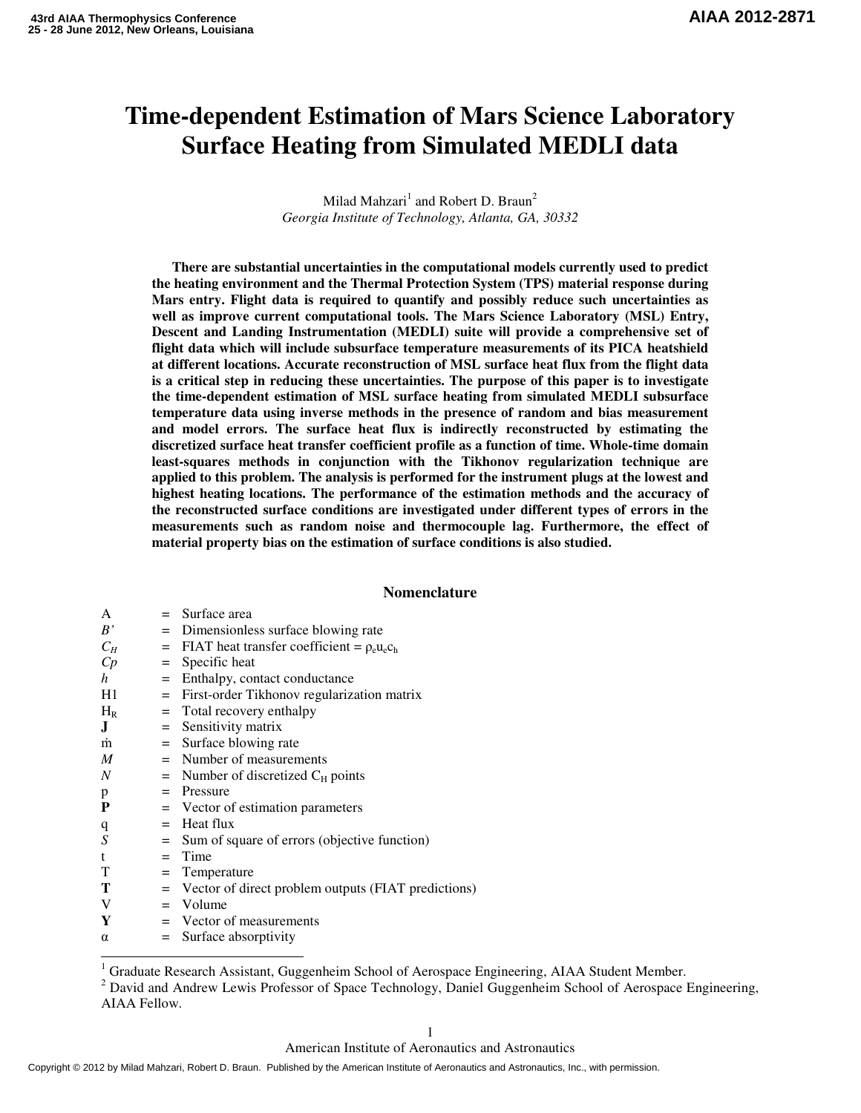# **Time-dependent Estimation of Mars Science Laboratory Surface Heating from Simulated MEDLI data**

Milad Mahzari $^1$  and Robert D. Braun $^2$ *Georgia Institute of Technology, Atlanta, GA, 30332*

**There are substantial uncertainties in the computational models currently used to predict the heating environment and the Thermal Protection System (TPS) material response during Mars entry. Flight data is required to quantify and possibly reduce such uncertainties as well as improve current computational tools. The Mars Science Laboratory (MSL) Entry, Descent and Landing Instrumentation (MEDLI) suite will provide a comprehensive set of flight data which will include subsurface temperature measurements of its PICA heatshield at different locations. Accurate reconstruction of MSL surface heat flux from the flight data is a critical step in reducing these uncertainties. The purpose of this paper is to investigate the time-dependent estimation of MSL surface heating from simulated MEDLI subsurface temperature data using inverse methods in the presence of random and bias measurement and model errors. The surface heat flux is indirectly reconstructed by estimating the discretized surface heat transfer coefficient profile as a function of time. Whole-time domain least-squares methods in conjunction with the Tikhonov regularization technique are applied to this problem. The analysis is performed for the instrument plugs at the lowest and highest heating locations. The performance of the estimation methods and the accuracy of the reconstructed surface conditions are investigated under different types of errors in the measurements such as random noise and thermocouple lag. Furthermore, the effect of material property bias on the estimation of surface conditions is also studied.** 

#### **Nomenclature**

| A           | $=$ | Surface area                                        |
|-------------|-----|-----------------------------------------------------|
| B'          |     | = Dimensionless surface blowing rate                |
| $C_H$       | $=$ | FIAT heat transfer coefficient = $\rho_e u_e c_h$   |
| Cp          | $=$ | Specific heat                                       |
| h           | $=$ | Enthalpy, contact conductance                       |
| H1          | $=$ | First-order Tikhonov regularization matrix          |
| $H_R$       |     | $=$ Total recovery enthalpy                         |
| J           | $=$ | Sensitivity matrix                                  |
| m           |     | = Surface blowing rate                              |
| M           |     | $=$ Number of measurements                          |
| N           |     | Number of discretized $C_H$ points                  |
| p           | $=$ | Pressure                                            |
| P           | $=$ | Vector of estimation parameters                     |
| $\mathbf q$ | $=$ | Heat flux                                           |
| S           | $=$ | Sum of square of errors (objective function)        |
|             | $=$ | Time                                                |
| T           | $=$ | Temperature                                         |
| Т           | $=$ | Vector of direct problem outputs (FIAT predictions) |
| V           | $=$ | Volume                                              |
| Y           | $=$ | Vector of measurements                              |
| $\alpha$    | $=$ | Surface absorptivity                                |
|             |     |                                                     |

<sup>&</sup>lt;sup>1</sup> Graduate Research Assistant, Guggenheim School of Aerospace Engineering, AIAA Student Member.

American Institute of Aeronautics and Astronautics

<sup>&</sup>lt;sup>2</sup> David and Andrew Lewis Professor of Space Technology, Daniel Guggenheim School of Aerospace Engineering, AIAA Fellow.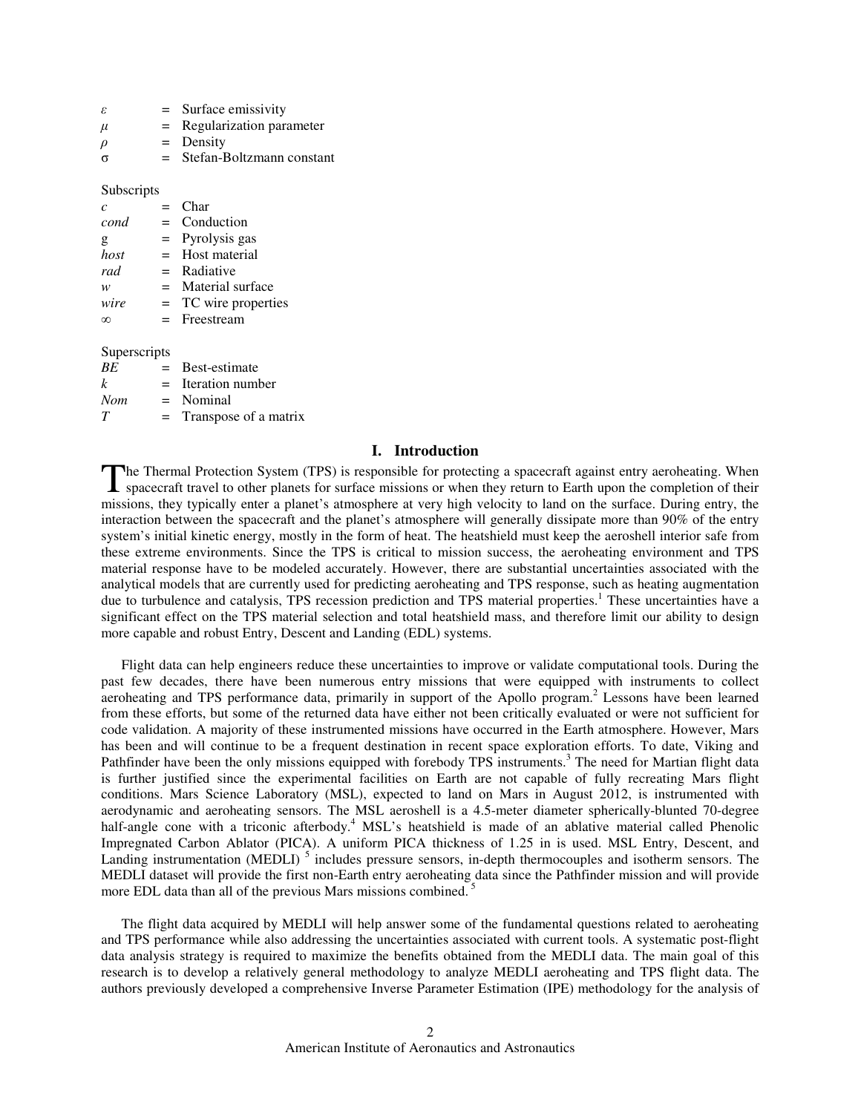|     | $=$ Surface emissivity   |  |  |
|-----|--------------------------|--|--|
| $=$ | Regularization parameter |  |  |

- $\rho$  = Density
- σ = Stefan-Boltzmann constant

# Subscripts

| C    | $=$ $-$ | <b>Char</b>          |
|------|---------|----------------------|
| cond | $=$     | Conduction           |
| g    | $=$     | Pyrolysis gas        |
| host | $=$     | Host material        |
| rad  |         | $=$ Radiative        |
| w    |         | $=$ Material surface |
| wire | $=$     | TC wire properties   |
| ∩∩   | $=$     | Freestream           |
|      |         |                      |

# **Superscripts**

| ВE  | $=$ Best-estimate         |
|-----|---------------------------|
| k   | $=$ Iteration number      |
| Nom | $=$ Nominal               |
| T   | $=$ Transpose of a matrix |

# **I. Introduction**

he Thermal Protection System (TPS) is responsible for protecting a spacecraft against entry aeroheating. When spacecraft travel to other planets for surface missions or when they return to Earth upon the completion of their The Thermal Protection System (TPS) is responsible for protecting a spacecraft against entry aeroheating. When spacecraft travel to other planets for surface missions or when they return to Earth upon the completion of the interaction between the spacecraft and the planet's atmosphere will generally dissipate more than 90% of the entry system's initial kinetic energy, mostly in the form of heat. The heatshield must keep the aeroshell interior safe from these extreme environments. Since the TPS is critical to mission success, the aeroheating environment and TPS material response have to be modeled accurately. However, there are substantial uncertainties associated with the analytical models that are currently used for predicting aeroheating and TPS response, such as heating augmentation due to turbulence and catalysis, TPS recession prediction and TPS material properties.<sup>1</sup> These uncertainties have a significant effect on the TPS material selection and total heatshield mass, and therefore limit our ability to design more capable and robust Entry, Descent and Landing (EDL) systems.

Flight data can help engineers reduce these uncertainties to improve or validate computational tools. During the past few decades, there have been numerous entry missions that were equipped with instruments to collect aeroheating and TPS performance data, primarily in support of the Apollo program.<sup>2</sup> Lessons have been learned from these efforts, but some of the returned data have either not been critically evaluated or were not sufficient for code validation. A majority of these instrumented missions have occurred in the Earth atmosphere. However, Mars has been and will continue to be a frequent destination in recent space exploration efforts. To date, Viking and Pathfinder have been the only missions equipped with forebody TPS instruments.<sup>3</sup> The need for Martian flight data is further justified since the experimental facilities on Earth are not capable of fully recreating Mars flight conditions. Mars Science Laboratory (MSL), expected to land on Mars in August 2012, is instrumented with aerodynamic and aeroheating sensors. The MSL aeroshell is a 4.5-meter diameter spherically-blunted 70-degree half-angle cone with a triconic afterbody.<sup>4</sup> MSL's heatshield is made of an ablative material called Phenolic Impregnated Carbon Ablator (PICA). A uniform PICA thickness of 1.25 in is used. MSL Entry, Descent, and Landing instrumentation (MEDLI)<sup>5</sup> includes pressure sensors, in-depth thermocouples and isotherm sensors. The MEDLI dataset will provide the first non-Earth entry aeroheating data since the Pathfinder mission and will provide more EDL data than all of the previous Mars missions combined.<sup>5</sup>

The flight data acquired by MEDLI will help answer some of the fundamental questions related to aeroheating and TPS performance while also addressing the uncertainties associated with current tools. A systematic post-flight data analysis strategy is required to maximize the benefits obtained from the MEDLI data. The main goal of this research is to develop a relatively general methodology to analyze MEDLI aeroheating and TPS flight data. The authors previously developed a comprehensive Inverse Parameter Estimation (IPE) methodology for the analysis of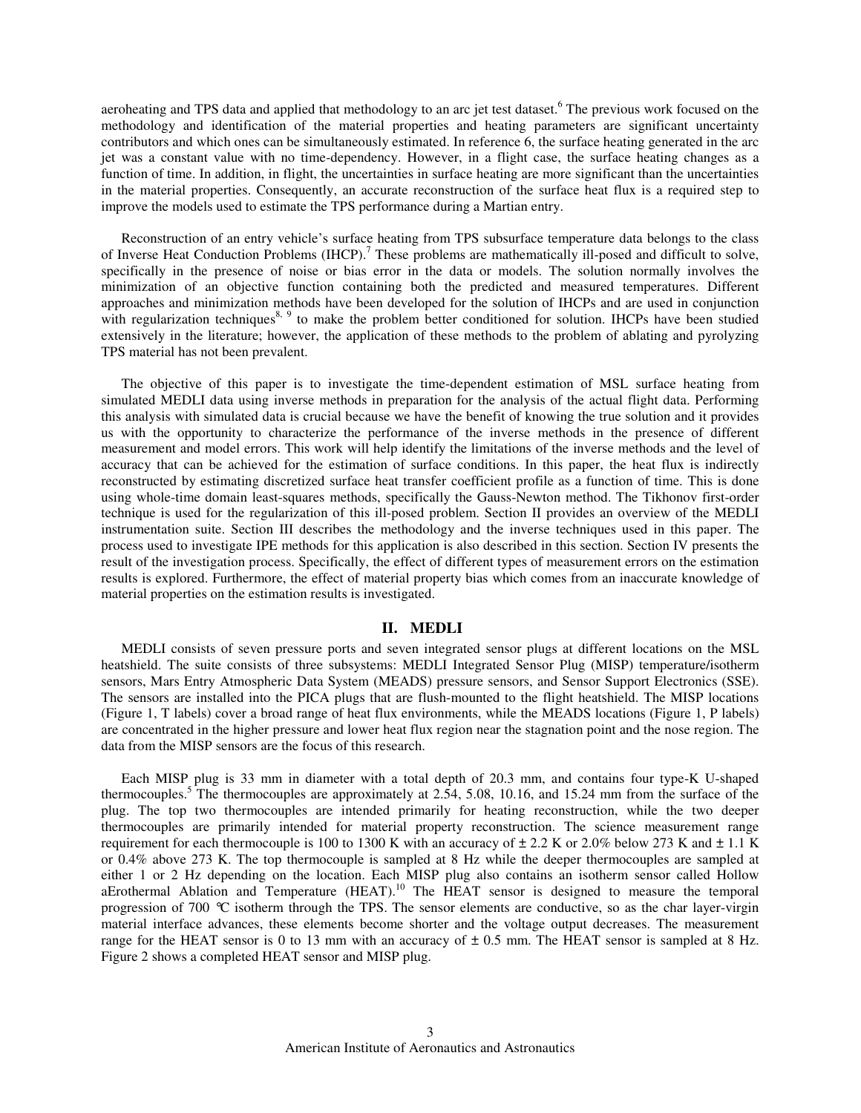aeroheating and TPS data and applied that methodology to an arc jet test dataset.<sup>6</sup> The previous work focused on the methodology and identification of the material properties and heating parameters are significant uncertainty contributors and which ones can be simultaneously estimated. In reference 6, the surface heating generated in the arc jet was a constant value with no time-dependency. However, in a flight case, the surface heating changes as a function of time. In addition, in flight, the uncertainties in surface heating are more significant than the uncertainties in the material properties. Consequently, an accurate reconstruction of the surface heat flux is a required step to improve the models used to estimate the TPS performance during a Martian entry.

Reconstruction of an entry vehicle's surface heating from TPS subsurface temperature data belongs to the class of Inverse Heat Conduction Problems (IHCP).<sup>7</sup> These problems are mathematically ill-posed and difficult to solve, specifically in the presence of noise or bias error in the data or models. The solution normally involves the minimization of an objective function containing both the predicted and measured temperatures. Different approaches and minimization methods have been developed for the solution of IHCPs and are used in conjunction with regularization techniques<sup>8, 9</sup> to make the problem better conditioned for solution. IHCPs have been studied extensively in the literature; however, the application of these methods to the problem of ablating and pyrolyzing TPS material has not been prevalent.

The objective of this paper is to investigate the time-dependent estimation of MSL surface heating from simulated MEDLI data using inverse methods in preparation for the analysis of the actual flight data. Performing this analysis with simulated data is crucial because we have the benefit of knowing the true solution and it provides us with the opportunity to characterize the performance of the inverse methods in the presence of different measurement and model errors. This work will help identify the limitations of the inverse methods and the level of accuracy that can be achieved for the estimation of surface conditions. In this paper, the heat flux is indirectly reconstructed by estimating discretized surface heat transfer coefficient profile as a function of time. This is done using whole-time domain least-squares methods, specifically the Gauss-Newton method. The Tikhonov first-order technique is used for the regularization of this ill-posed problem. Section II provides an overview of the MEDLI instrumentation suite. Section III describes the methodology and the inverse techniques used in this paper. The process used to investigate IPE methods for this application is also described in this section. Section IV presents the result of the investigation process. Specifically, the effect of different types of measurement errors on the estimation results is explored. Furthermore, the effect of material property bias which comes from an inaccurate knowledge of material properties on the estimation results is investigated.

# **II. MEDLI**

MEDLI consists of seven pressure ports and seven integrated sensor plugs at different locations on the MSL heatshield. The suite consists of three subsystems: MEDLI Integrated Sensor Plug (MISP) temperature/isotherm sensors, Mars Entry Atmospheric Data System (MEADS) pressure sensors, and Sensor Support Electronics (SSE). The sensors are installed into the PICA plugs that are flush-mounted to the flight heatshield. The MISP locations (Figure 1, T labels) cover a broad range of heat flux environments, while the MEADS locations (Figure 1, P labels) are concentrated in the higher pressure and lower heat flux region near the stagnation point and the nose region. The data from the MISP sensors are the focus of this research.

Each MISP plug is 33 mm in diameter with a total depth of 20.3 mm, and contains four type-K U-shaped thermocouples.<sup>5</sup> The thermocouples are approximately at 2.54, 5.08, 10.16, and 15.24 mm from the surface of the plug. The top two thermocouples are intended primarily for heating reconstruction, while the two deeper thermocouples are primarily intended for material property reconstruction. The science measurement range requirement for each thermocouple is 100 to 1300 K with an accuracy of  $\pm$  2.2 K or 2.0% below 273 K and  $\pm$  1.1 K or 0.4% above 273 K. The top thermocouple is sampled at 8 Hz while the deeper thermocouples are sampled at either 1 or 2 Hz depending on the location. Each MISP plug also contains an isotherm sensor called Hollow aErothermal Ablation and Temperature (HEAT).<sup>10</sup> The HEAT sensor is designed to measure the temporal progression of 700 °C isotherm through the TPS. The sensor elements are conductive, so as the char layer-virgin material interface advances, these elements become shorter and the voltage output decreases. The measurement range for the HEAT sensor is 0 to 13 mm with an accuracy of  $\pm$  0.5 mm. The HEAT sensor is sampled at 8 Hz. Figure 2 shows a completed HEAT sensor and MISP plug.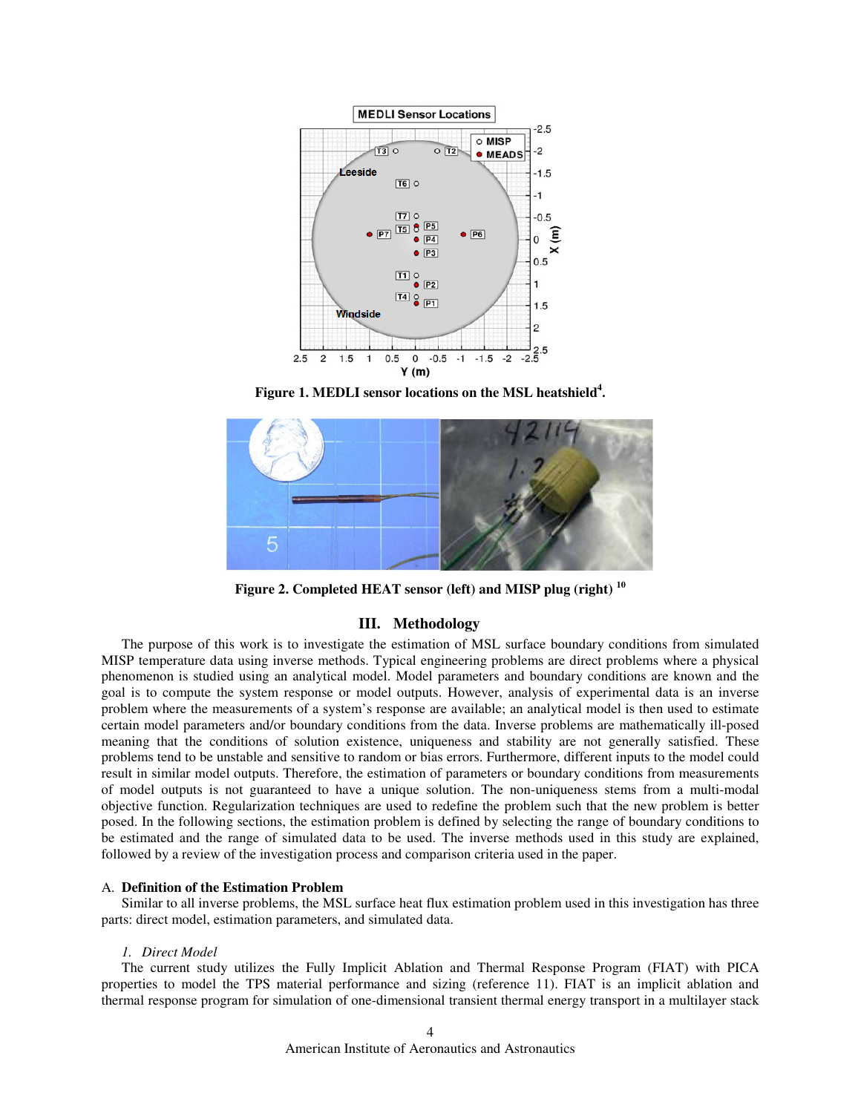

**Figure 1. MEDLI sensor locations on the MSL heatshield<sup>4</sup> .** 



**Figure 2. Completed HEAT sensor (left) and MISP plug (right) <sup>10</sup>**

# **III. Methodology**

The purpose of this work is to investigate the estimation of MSL surface boundary conditions from simulated MISP temperature data using inverse methods. Typical engineering problems are direct problems where a physical phenomenon is studied using an analytical model. Model parameters and boundary conditions are known and the goal is to compute the system response or model outputs. However, analysis of experimental data is an inverse problem where the measurements of a system's response are available; an analytical model is then used to estimate certain model parameters and/or boundary conditions from the data. Inverse problems are mathematically ill-posed meaning that the conditions of solution existence, uniqueness and stability are not generally satisfied. These problems tend to be unstable and sensitive to random or bias errors. Furthermore, different inputs to the model could result in similar model outputs. Therefore, the estimation of parameters or boundary conditions from measurements of model outputs is not guaranteed to have a unique solution. The non-uniqueness stems from a multi-modal objective function. Regularization techniques are used to redefine the problem such that the new problem is better posed. In the following sections, the estimation problem is defined by selecting the range of boundary conditions to be estimated and the range of simulated data to be used. The inverse methods used in this study are explained, followed by a review of the investigation process and comparison criteria used in the paper.

## A. **Definition of the Estimation Problem**

Similar to all inverse problems, the MSL surface heat flux estimation problem used in this investigation has three parts: direct model, estimation parameters, and simulated data.

#### *1. Direct Model*

The current study utilizes the Fully Implicit Ablation and Thermal Response Program (FIAT) with PICA properties to model the TPS material performance and sizing (reference 11). FIAT is an implicit ablation and thermal response program for simulation of one-dimensional transient thermal energy transport in a multilayer stack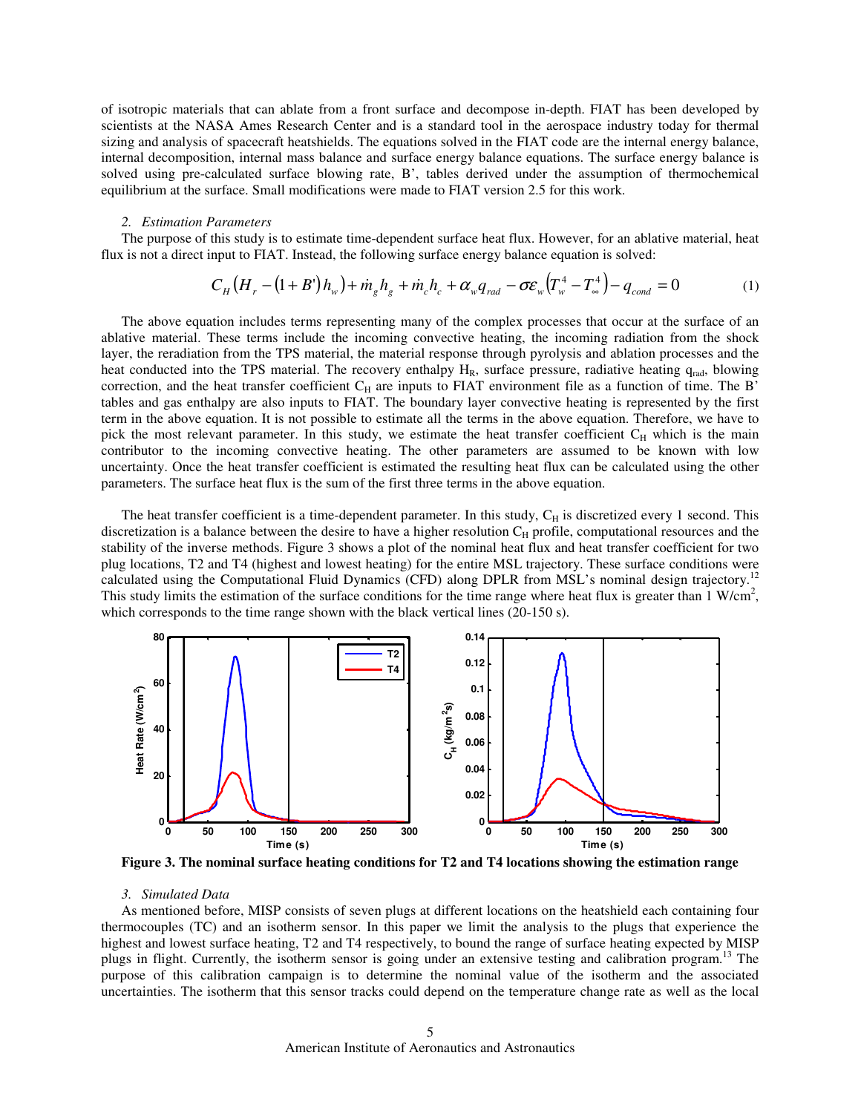of isotropic materials that can ablate from a front surface and decompose in-depth. FIAT has been developed by scientists at the NASA Ames Research Center and is a standard tool in the aerospace industry today for thermal sizing and analysis of spacecraft heatshields. The equations solved in the FIAT code are the internal energy balance, internal decomposition, internal mass balance and surface energy balance equations. The surface energy balance is solved using pre-calculated surface blowing rate, B', tables derived under the assumption of thermochemical equilibrium at the surface. Small modifications were made to FIAT version 2.5 for this work.

### *2. Estimation Parameters*

The purpose of this study is to estimate time-dependent surface heat flux. However, for an ablative material, heat flux is not a direct input to FIAT. Instead, the following surface energy balance equation is solved:

$$
C_H (H_r - (1 + B')h_w) + m_g h_g + m_c h_c + \alpha_w q_{rad} - \sigma \varepsilon_w (T_w^4 - T_w^4) - q_{cond} = 0
$$
 (1)

The above equation includes terms representing many of the complex processes that occur at the surface of an ablative material. These terms include the incoming convective heating, the incoming radiation from the shock layer, the reradiation from the TPS material, the material response through pyrolysis and ablation processes and the heat conducted into the TPS material. The recovery enthalpy  $H_R$ , surface pressure, radiative heating  $q_{rad}$ , blowing correction, and the heat transfer coefficient  $C_H$  are inputs to FIAT environment file as a function of time. The B' tables and gas enthalpy are also inputs to FIAT. The boundary layer convective heating is represented by the first term in the above equation. It is not possible to estimate all the terms in the above equation. Therefore, we have to pick the most relevant parameter. In this study, we estimate the heat transfer coefficient  $C_H$  which is the main contributor to the incoming convective heating. The other parameters are assumed to be known with low uncertainty. Once the heat transfer coefficient is estimated the resulting heat flux can be calculated using the other parameters. The surface heat flux is the sum of the first three terms in the above equation.

The heat transfer coefficient is a time-dependent parameter. In this study,  $C_H$  is discretized every 1 second. This discretization is a balance between the desire to have a higher resolution  $C_H$  profile, computational resources and the stability of the inverse methods. Figure 3 shows a plot of the nominal heat flux and heat transfer coefficient for two plug locations, T2 and T4 (highest and lowest heating) for the entire MSL trajectory. These surface conditions were calculated using the Computational Fluid Dynamics (CFD) along DPLR from MSL's nominal design trajectory.<sup>12</sup> This study limits the estimation of the surface conditions for the time range where heat flux is greater than  $1 \text{ W/cm}^2$ , which corresponds to the time range shown with the black vertical lines (20-150 s).



**Figure 3. The nominal surface heating conditions for T2 and T4 locations showing the estimation range** 

## *3. Simulated Data*

As mentioned before, MISP consists of seven plugs at different locations on the heatshield each containing four thermocouples (TC) and an isotherm sensor. In this paper we limit the analysis to the plugs that experience the highest and lowest surface heating, T2 and T4 respectively, to bound the range of surface heating expected by MISP plugs in flight. Currently, the isotherm sensor is going under an extensive testing and calibration program.<sup>13</sup> The purpose of this calibration campaign is to determine the nominal value of the isotherm and the associated uncertainties. The isotherm that this sensor tracks could depend on the temperature change rate as well as the local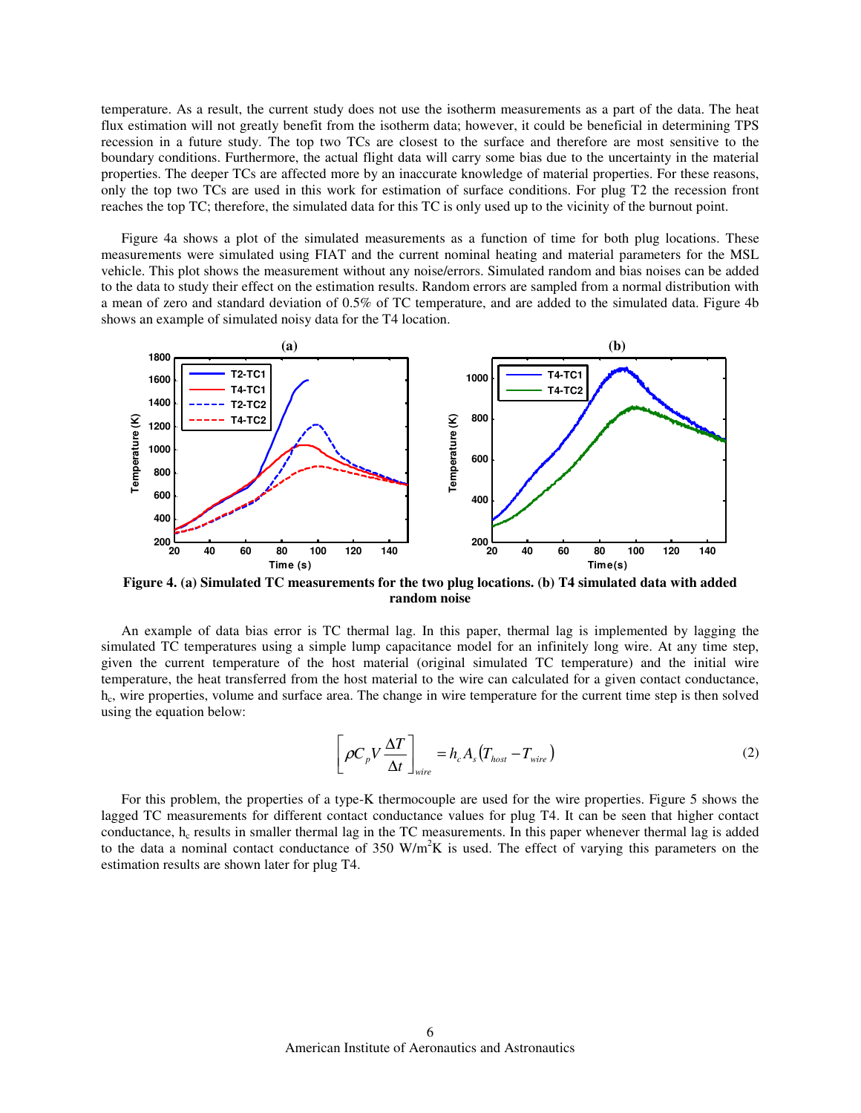temperature. As a result, the current study does not use the isotherm measurements as a part of the data. The heat flux estimation will not greatly benefit from the isotherm data; however, it could be beneficial in determining TPS recession in a future study. The top two TCs are closest to the surface and therefore are most sensitive to the boundary conditions. Furthermore, the actual flight data will carry some bias due to the uncertainty in the material properties. The deeper TCs are affected more by an inaccurate knowledge of material properties. For these reasons, only the top two TCs are used in this work for estimation of surface conditions. For plug T2 the recession front reaches the top TC; therefore, the simulated data for this TC is only used up to the vicinity of the burnout point.

Figure 4a shows a plot of the simulated measurements as a function of time for both plug locations. These measurements were simulated using FIAT and the current nominal heating and material parameters for the MSL vehicle. This plot shows the measurement without any noise/errors. Simulated random and bias noises can be added to the data to study their effect on the estimation results. Random errors are sampled from a normal distribution with a mean of zero and standard deviation of 0.5% of TC temperature, and are added to the simulated data. Figure 4b shows an example of simulated noisy data for the T4 location.



**Figure 4. (a) Simulated TC measurements for the two plug locations. (b) T4 simulated data with added random noise** 

 An example of data bias error is TC thermal lag. In this paper, thermal lag is implemented by lagging the simulated TC temperatures using a simple lump capacitance model for an infinitely long wire. At any time step, given the current temperature of the host material (original simulated TC temperature) and the initial wire temperature, the heat transferred from the host material to the wire can calculated for a given contact conductance, h<sub>c</sub>, wire properties, volume and surface area. The change in wire temperature for the current time step is then solved using the equation below:

$$
\left[\rho C_p V \frac{\Delta T}{\Delta t}\right]_{wire} = h_c A_s (T_{host} - T_{wire})
$$
\n(2)

 For this problem, the properties of a type-K thermocouple are used for the wire properties. Figure 5 shows the lagged TC measurements for different contact conductance values for plug T4. It can be seen that higher contact conductance,  $h_c$  results in smaller thermal lag in the TC measurements. In this paper whenever thermal lag is added to the data a nominal contact conductance of 350  $W/m^2K$  is used. The effect of varying this parameters on the estimation results are shown later for plug T4.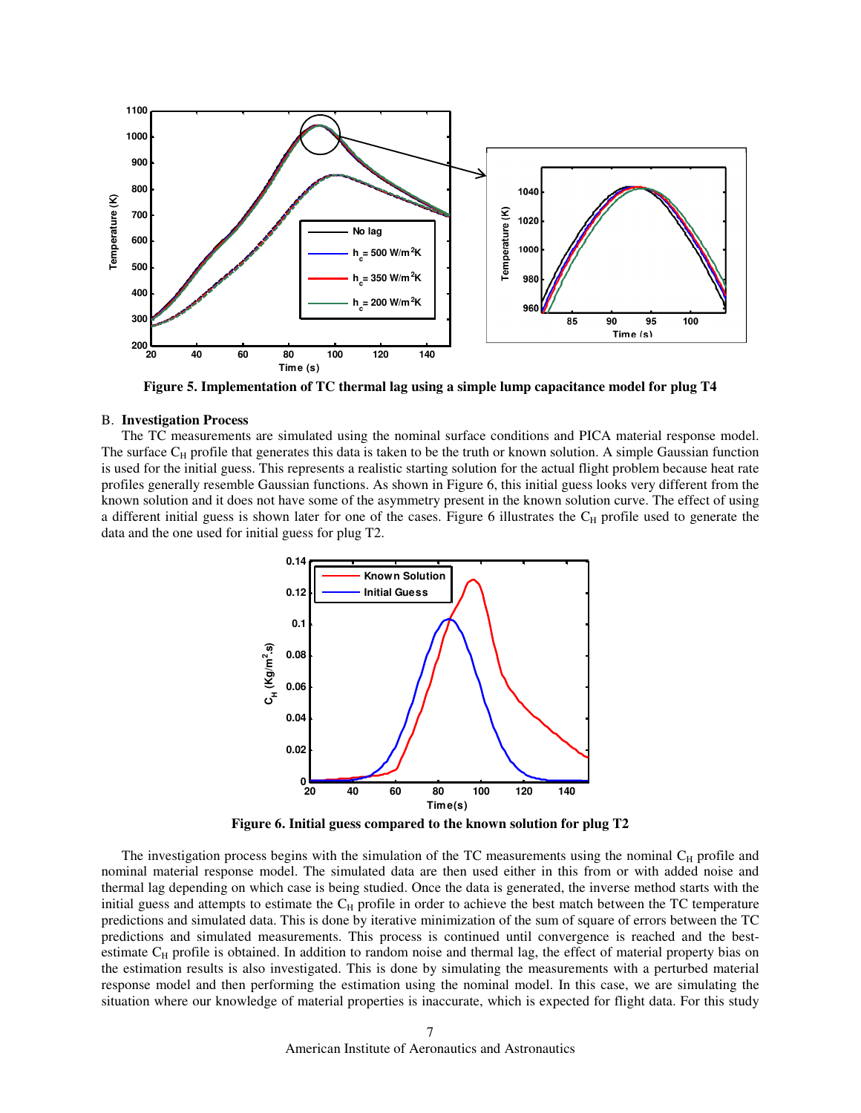

**Figure 5. Implementation of TC thermal lag using a simple lump capacitance model for plug T4** 

#### B. **Investigation Process**

The TC measurements are simulated using the nominal surface conditions and PICA material response model. The surface  $C_H$  profile that generates this data is taken to be the truth or known solution. A simple Gaussian function is used for the initial guess. This represents a realistic starting solution for the actual flight problem because heat rate profiles generally resemble Gaussian functions. As shown in Figure 6, this initial guess looks very different from the known solution and it does not have some of the asymmetry present in the known solution curve. The effect of using a different initial guess is shown later for one of the cases. Figure 6 illustrates the  $C_H$  profile used to generate the data and the one used for initial guess for plug T2.



**Figure 6. Initial guess compared to the known solution for plug T2** 

The investigation process begins with the simulation of the TC measurements using the nominal  $C_H$  profile and nominal material response model. The simulated data are then used either in this from or with added noise and thermal lag depending on which case is being studied. Once the data is generated, the inverse method starts with the initial guess and attempts to estimate the  $C_H$  profile in order to achieve the best match between the TC temperature predictions and simulated data. This is done by iterative minimization of the sum of square of errors between the TC predictions and simulated measurements. This process is continued until convergence is reached and the bestestimate  $C_H$  profile is obtained. In addition to random noise and thermal lag, the effect of material property bias on the estimation results is also investigated. This is done by simulating the measurements with a perturbed material response model and then performing the estimation using the nominal model. In this case, we are simulating the situation where our knowledge of material properties is inaccurate, which is expected for flight data. For this study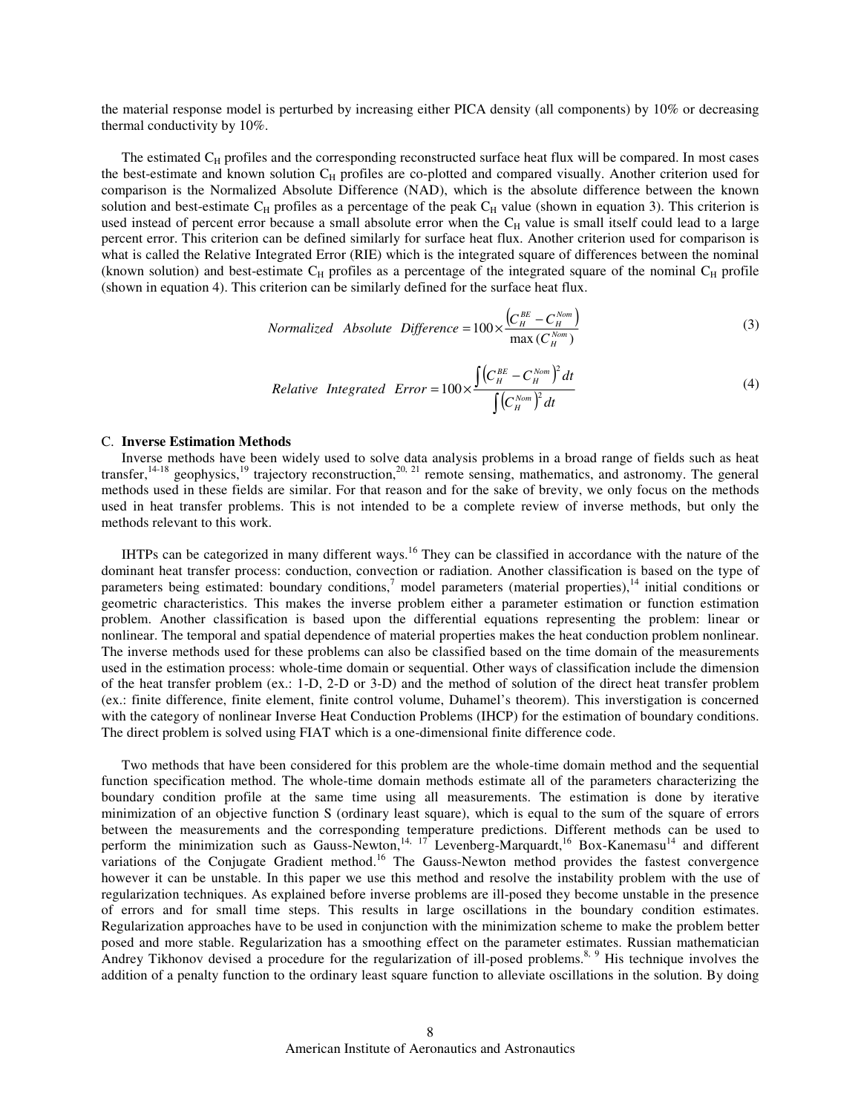the material response model is perturbed by increasing either PICA density (all components) by 10% or decreasing thermal conductivity by 10%.

The estimated  $C_H$  profiles and the corresponding reconstructed surface heat flux will be compared. In most cases the best-estimate and known solution  $C_H$  profiles are co-plotted and compared visually. Another criterion used for comparison is the Normalized Absolute Difference (NAD), which is the absolute difference between the known solution and best-estimate  $C_H$  profiles as a percentage of the peak  $C_H$  value (shown in equation 3). This criterion is used instead of percent error because a small absolute error when the  $C_H$  value is small itself could lead to a large percent error. This criterion can be defined similarly for surface heat flux. Another criterion used for comparison is what is called the Relative Integrated Error (RIE) which is the integrated square of differences between the nominal (known solution) and best-estimate  $C_H$  profiles as a percentage of the integrated square of the nominal  $C_H$  profile (shown in equation 4). This criterion can be similarly defined for the surface heat flux.

*Normalized Absolute Difference* = 
$$
100 \times \frac{(C_H^{BE} - C_H^{Nom})}{\max(C_H^{Dom})}
$$
 (3)

*Relative Integrated Error* = 
$$
100 \times \frac{\int (C_H^{BE} - C_H^{Non})^2 dt}{\int (C_H^{Non})^2 dt}
$$
 (4)

### C. **Inverse Estimation Methods**

Inverse methods have been widely used to solve data analysis problems in a broad range of fields such as heat transfer,<sup>14-18</sup> geophysics,<sup>19</sup> trajectory reconstruction,<sup>20, 21</sup> remote sensing, mathematics, and astronomy. The general methods used in these fields are similar. For that reason and for the sake of brevity, we only focus on the methods used in heat transfer problems. This is not intended to be a complete review of inverse methods, but only the methods relevant to this work.

IHTPs can be categorized in many different ways.<sup>16</sup> They can be classified in accordance with the nature of the dominant heat transfer process: conduction, convection or radiation. Another classification is based on the type of parameters being estimated: boundary conditions,<sup>7</sup> model parameters (material properties),<sup>14</sup> initial conditions or geometric characteristics. This makes the inverse problem either a parameter estimation or function estimation problem. Another classification is based upon the differential equations representing the problem: linear or nonlinear. The temporal and spatial dependence of material properties makes the heat conduction problem nonlinear. The inverse methods used for these problems can also be classified based on the time domain of the measurements used in the estimation process: whole-time domain or sequential. Other ways of classification include the dimension of the heat transfer problem (ex.: 1-D, 2-D or 3-D) and the method of solution of the direct heat transfer problem (ex.: finite difference, finite element, finite control volume, Duhamel's theorem). This inverstigation is concerned with the category of nonlinear Inverse Heat Conduction Problems (IHCP) for the estimation of boundary conditions. The direct problem is solved using FIAT which is a one-dimensional finite difference code.

 Two methods that have been considered for this problem are the whole-time domain method and the sequential function specification method. The whole-time domain methods estimate all of the parameters characterizing the boundary condition profile at the same time using all measurements. The estimation is done by iterative minimization of an objective function S (ordinary least square), which is equal to the sum of the square of errors between the measurements and the corresponding temperature predictions. Different methods can be used to perform the minimization such as Gauss-Newton,<sup>14, 17</sup> Levenberg-Marquardt,<sup>16</sup> Box-Kanemasu<sup>14</sup> and different variations of the Conjugate Gradient method.<sup>16</sup> The Gauss-Newton method provides the fastest convergence however it can be unstable. In this paper we use this method and resolve the instability problem with the use of regularization techniques. As explained before inverse problems are ill-posed they become unstable in the presence of errors and for small time steps. This results in large oscillations in the boundary condition estimates. Regularization approaches have to be used in conjunction with the minimization scheme to make the problem better posed and more stable. Regularization has a smoothing effect on the parameter estimates. Russian mathematician Andrey Tikhonov devised a procedure for the regularization of ill-posed problems.<sup>8, 9</sup> His technique involves the addition of a penalty function to the ordinary least square function to alleviate oscillations in the solution. By doing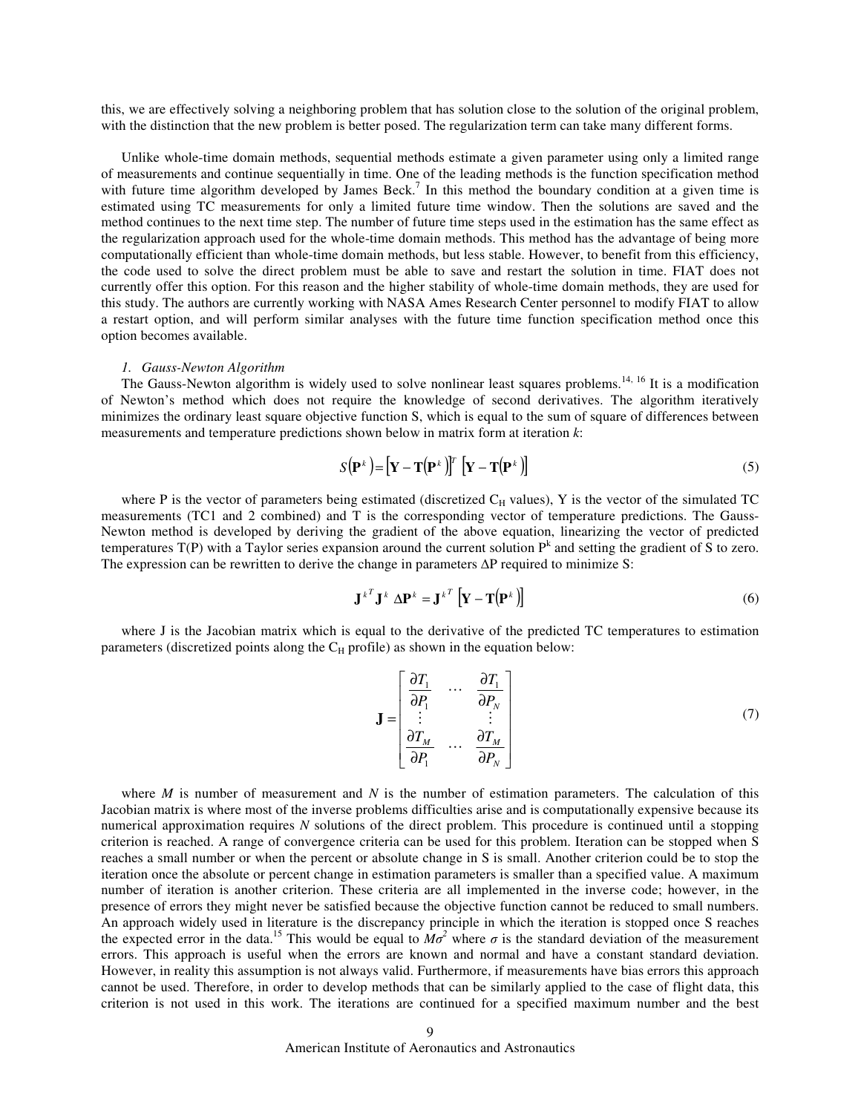this, we are effectively solving a neighboring problem that has solution close to the solution of the original problem, with the distinction that the new problem is better posed. The regularization term can take many different forms.

 Unlike whole-time domain methods, sequential methods estimate a given parameter using only a limited range of measurements and continue sequentially in time. One of the leading methods is the function specification method with future time algorithm developed by James Beck.<sup>7</sup> In this method the boundary condition at a given time is estimated using TC measurements for only a limited future time window. Then the solutions are saved and the method continues to the next time step. The number of future time steps used in the estimation has the same effect as the regularization approach used for the whole-time domain methods. This method has the advantage of being more computationally efficient than whole-time domain methods, but less stable. However, to benefit from this efficiency, the code used to solve the direct problem must be able to save and restart the solution in time. FIAT does not currently offer this option. For this reason and the higher stability of whole-time domain methods, they are used for this study. The authors are currently working with NASA Ames Research Center personnel to modify FIAT to allow a restart option, and will perform similar analyses with the future time function specification method once this option becomes available.

#### *1. Gauss-Newton Algorithm*

The Gauss-Newton algorithm is widely used to solve nonlinear least squares problems.<sup>14, 16</sup> It is a modification of Newton's method which does not require the knowledge of second derivatives. The algorithm iteratively minimizes the ordinary least square objective function S, which is equal to the sum of square of differences between measurements and temperature predictions shown below in matrix form at iteration *k*:

$$
S(\mathbf{P}^k) = [\mathbf{Y} - \mathbf{T}(\mathbf{P}^k)]^T [\mathbf{Y} - \mathbf{T}(\mathbf{P}^k)] \tag{5}
$$

where P is the vector of parameters being estimated (discretized  $C_H$  values), Y is the vector of the simulated TC measurements (TC1 and 2 combined) and T is the corresponding vector of temperature predictions. The Gauss-Newton method is developed by deriving the gradient of the above equation, linearizing the vector of predicted temperatures  $T(P)$  with a Taylor series expansion around the current solution  $P^k$  and setting the gradient of S to zero. The expression can be rewritten to derive the change in parameters ∆P required to minimize S:

$$
\mathbf{J}^{k} \mathbf{J}^{k} \Delta \mathbf{P}^{k} = \mathbf{J}^{k} \left[ \mathbf{Y} - \mathbf{T} (\mathbf{P}^{k}) \right]
$$
 (6)

where J is the Jacobian matrix which is equal to the derivative of the predicted TC temperatures to estimation parameters (discretized points along the  $C_H$  profile) as shown in the equation below:

$$
\mathbf{J} = \begin{bmatrix} \frac{\partial T_1}{\partial P_1} & \cdots & \frac{\partial T_1}{\partial P_N} \\ \vdots & & \vdots \\ \frac{\partial T_M}{\partial P_1} & \cdots & \frac{\partial T_M}{\partial P_N} \end{bmatrix}
$$
(7)

where *M* is number of measurement and *N* is the number of estimation parameters. The calculation of this Jacobian matrix is where most of the inverse problems difficulties arise and is computationally expensive because its numerical approximation requires *N* solutions of the direct problem. This procedure is continued until a stopping criterion is reached. A range of convergence criteria can be used for this problem. Iteration can be stopped when S reaches a small number or when the percent or absolute change in S is small. Another criterion could be to stop the iteration once the absolute or percent change in estimation parameters is smaller than a specified value. A maximum number of iteration is another criterion. These criteria are all implemented in the inverse code; however, in the presence of errors they might never be satisfied because the objective function cannot be reduced to small numbers. An approach widely used in literature is the discrepancy principle in which the iteration is stopped once S reaches the expected error in the data.<sup>15</sup> This would be equal to  $M\sigma^2$  where  $\sigma$  is the standard deviation of the measurement errors. This approach is useful when the errors are known and normal and have a constant standard deviation. However, in reality this assumption is not always valid. Furthermore, if measurements have bias errors this approach cannot be used. Therefore, in order to develop methods that can be similarly applied to the case of flight data, this criterion is not used in this work. The iterations are continued for a specified maximum number and the best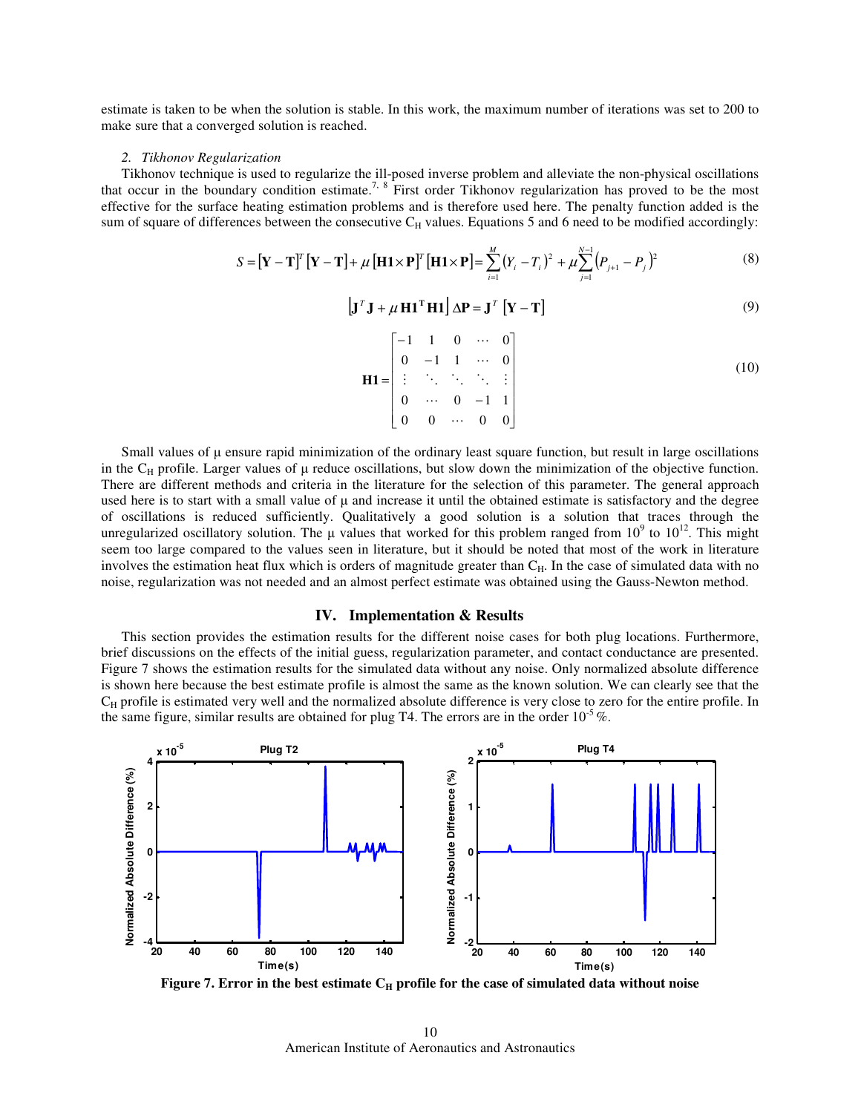estimate is taken to be when the solution is stable. In this work, the maximum number of iterations was set to 200 to make sure that a converged solution is reached.

#### *2. Tikhonov Regularization*

Tikhonov technique is used to regularize the ill-posed inverse problem and alleviate the non-physical oscillations that occur in the boundary condition estimate.<sup>7, 8</sup> First order Tikhonov regularization has proved to be the most effective for the surface heating estimation problems and is therefore used here. The penalty function added is the sum of square of differences between the consecutive  $C_H$  values. Equations 5 and 6 need to be modified accordingly:

$$
S = \left[\mathbf{Y} - \mathbf{T}\right]^T \left[\mathbf{Y} - \mathbf{T}\right] + \mu \left[\mathbf{H} \mathbf{1} \times \mathbf{P}\right]^T \left[\mathbf{H} \mathbf{1} \times \mathbf{P}\right] = \sum_{i=1}^M \left(Y_i - T_i\right)^2 + \mu \sum_{j=1}^{N-1} \left(P_{j+1} - P_j\right)^2 \tag{8}
$$

$$
\left[\mathbf{J}^T \mathbf{J} + \mu \mathbf{H} \mathbf{1}^T \mathbf{H} \mathbf{1}\right] \Delta \mathbf{P} = \mathbf{J}^T \left[\mathbf{Y} - \mathbf{T}\right]
$$
\n(9)

$$
\mathbf{H1} = \begin{bmatrix} -1 & 1 & 0 & \cdots & 0 \\ 0 & -1 & 1 & \cdots & 0 \\ \vdots & \ddots & \ddots & \ddots & \vdots \\ 0 & \cdots & 0 & -1 & 1 \\ 0 & 0 & \cdots & 0 & 0 \end{bmatrix}
$$
(10)

Small values of  $\mu$  ensure rapid minimization of the ordinary least square function, but result in large oscillations in the  $C_H$  profile. Larger values of  $\mu$  reduce oscillations, but slow down the minimization of the objective function. There are different methods and criteria in the literature for the selection of this parameter. The general approach used here is to start with a small value of  $\mu$  and increase it until the obtained estimate is satisfactory and the degree of oscillations is reduced sufficiently. Qualitatively a good solution is a solution that traces through the unregularized oscillatory solution. The  $\mu$  values that worked for this problem ranged from  $10^9$  to  $10^{12}$ . This might seem too large compared to the values seen in literature, but it should be noted that most of the work in literature involves the estimation heat flux which is orders of magnitude greater than  $C_H$ . In the case of simulated data with no noise, regularization was not needed and an almost perfect estimate was obtained using the Gauss-Newton method.

#### **IV. Implementation & Results**

This section provides the estimation results for the different noise cases for both plug locations. Furthermore, brief discussions on the effects of the initial guess, regularization parameter, and contact conductance are presented. Figure 7 shows the estimation results for the simulated data without any noise. Only normalized absolute difference is shown here because the best estimate profile is almost the same as the known solution. We can clearly see that the  $C_H$  profile is estimated very well and the normalized absolute difference is very close to zero for the entire profile. In the same figure, similar results are obtained for plug T4. The errors are in the order  $10^{-5}$  %.



**Figure 7. Error in the best estimate CH profile for the case of simulated data without noise** 

American Institute of Aeronautics and Astronautics 10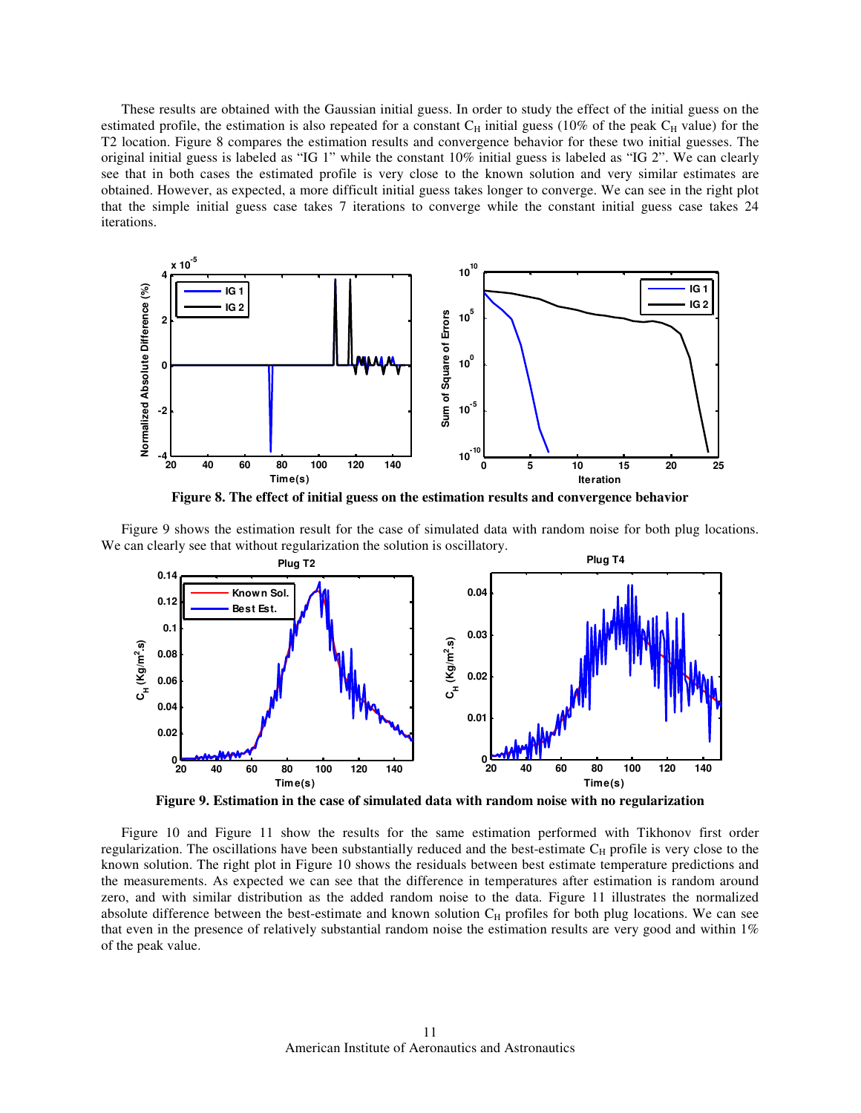These results are obtained with the Gaussian initial guess. In order to study the effect of the initial guess on the estimated profile, the estimation is also repeated for a constant  $C_H$  initial guess (10% of the peak  $C_H$  value) for the T2 location. Figure 8 compares the estimation results and convergence behavior for these two initial guesses. The original initial guess is labeled as "IG 1" while the constant 10% initial guess is labeled as "IG 2". We can clearly see that in both cases the estimated profile is very close to the known solution and very similar estimates are obtained. However, as expected, a more difficult initial guess takes longer to converge. We can see in the right plot that the simple initial guess case takes 7 iterations to converge while the constant initial guess case takes 24 iterations.



**Figure 8. The effect of initial guess on the estimation results and convergence behavior** 

Figure 9 shows the estimation result for the case of simulated data with random noise for both plug locations. We can clearly see that without regularization the solution is oscillatory.



**Figure 9. Estimation in the case of simulated data with random noise with no regularization** 

Figure 10 and Figure 11 show the results for the same estimation performed with Tikhonov first order regularization. The oscillations have been substantially reduced and the best-estimate  $C_H$  profile is very close to the known solution. The right plot in Figure 10 shows the residuals between best estimate temperature predictions and the measurements. As expected we can see that the difference in temperatures after estimation is random around zero, and with similar distribution as the added random noise to the data. Figure 11 illustrates the normalized absolute difference between the best-estimate and known solution  $C_H$  profiles for both plug locations. We can see that even in the presence of relatively substantial random noise the estimation results are very good and within 1% of the peak value.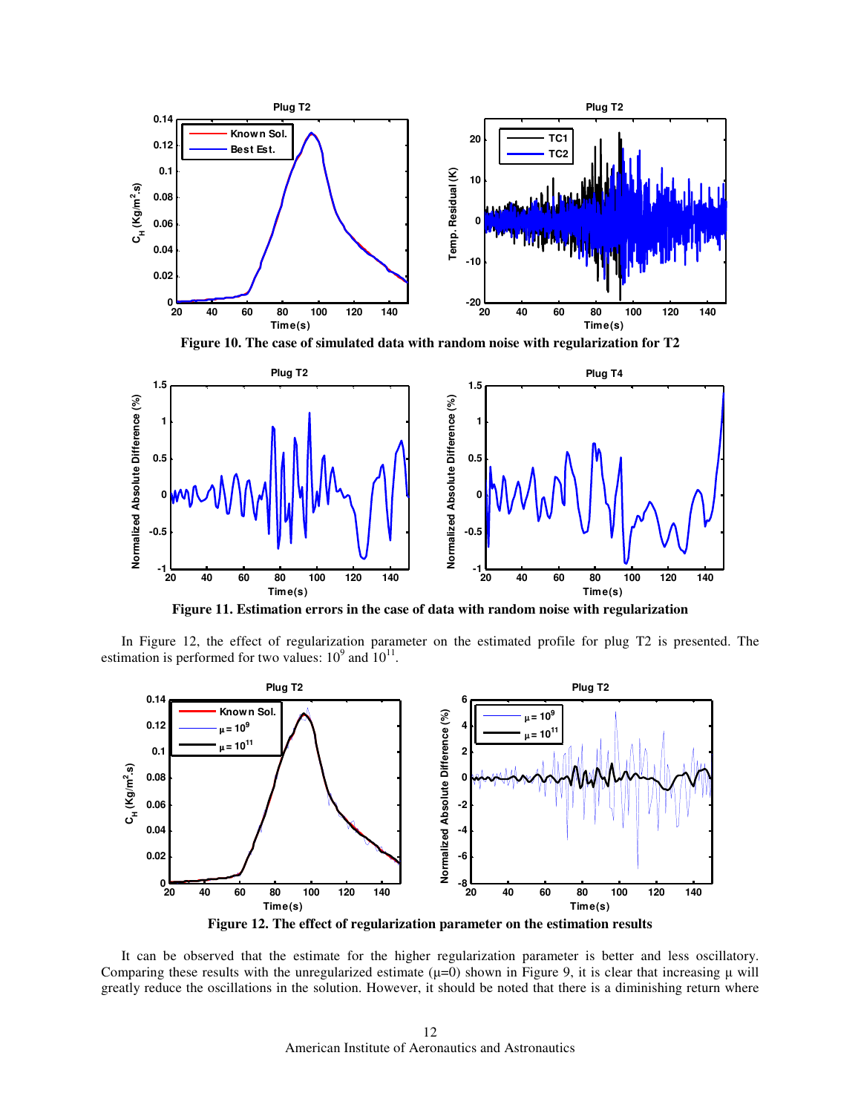

**Figure 10. The case of simulated data with random noise with regularization for T2** 



In Figure 12, the effect of regularization parameter on the estimated profile for plug T2 is presented. The estimation is performed for two values:  $10^9$  and  $10^{11}$ .



**Figure 12. The effect of regularization parameter on the estimation results** 

It can be observed that the estimate for the higher regularization parameter is better and less oscillatory. Comparing these results with the unregularized estimate  $(\mu=0)$  shown in Figure 9, it is clear that increasing  $\mu$  will greatly reduce the oscillations in the solution. However, it should be noted that there is a diminishing return where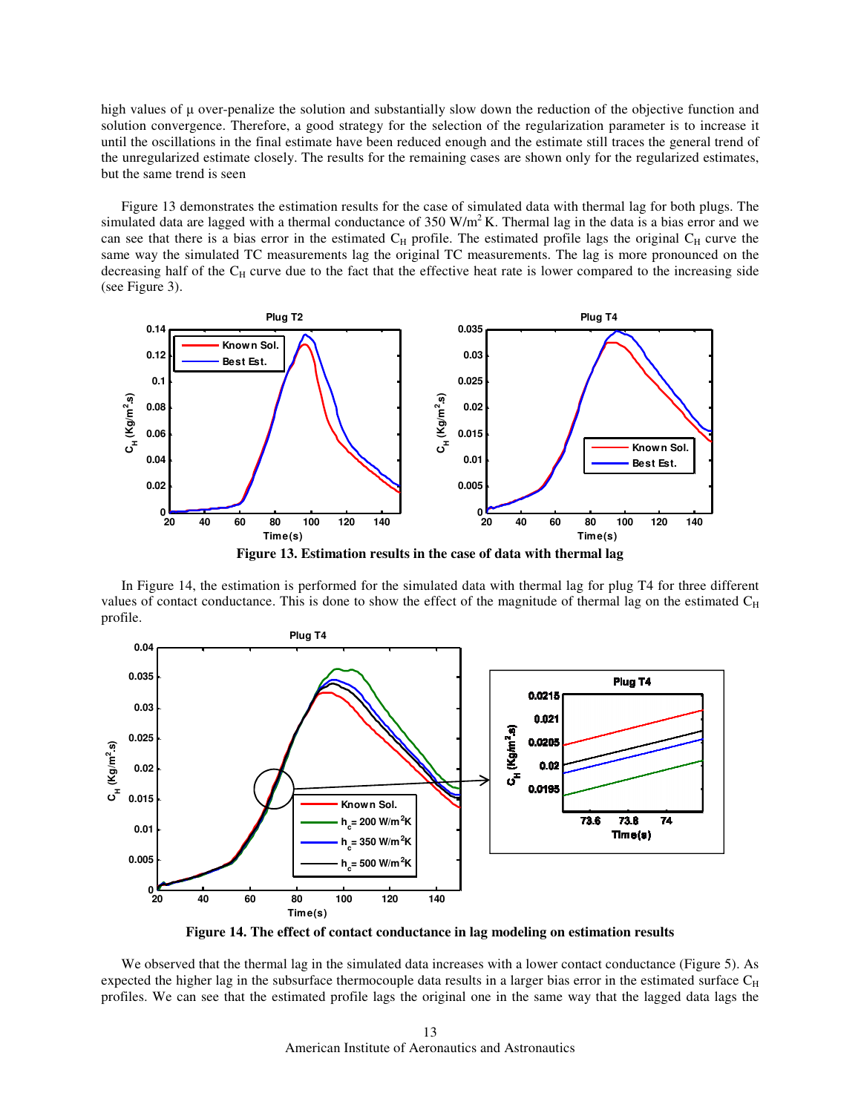high values of  $\mu$  over-penalize the solution and substantially slow down the reduction of the objective function and solution convergence. Therefore, a good strategy for the selection of the regularization parameter is to increase it until the oscillations in the final estimate have been reduced enough and the estimate still traces the general trend of the unregularized estimate closely. The results for the remaining cases are shown only for the regularized estimates, but the same trend is seen

Figure 13 demonstrates the estimation results for the case of simulated data with thermal lag for both plugs. The simulated data are lagged with a thermal conductance of 350  $W/m^2 K$ . Thermal lag in the data is a bias error and we can see that there is a bias error in the estimated  $C_H$  profile. The estimated profile lags the original  $C_H$  curve the same way the simulated TC measurements lag the original TC measurements. The lag is more pronounced on the decreasing half of the  $C_H$  curve due to the fact that the effective heat rate is lower compared to the increasing side (see Figure 3).



In Figure 14, the estimation is performed for the simulated data with thermal lag for plug T4 for three different values of contact conductance. This is done to show the effect of the magnitude of thermal lag on the estimated  $C_H$ profile.



**Figure 14. The effect of contact conductance in lag modeling on estimation results** 

We observed that the thermal lag in the simulated data increases with a lower contact conductance (Figure 5). As expected the higher lag in the subsurface thermocouple data results in a larger bias error in the estimated surface  $C_H$ profiles. We can see that the estimated profile lags the original one in the same way that the lagged data lags the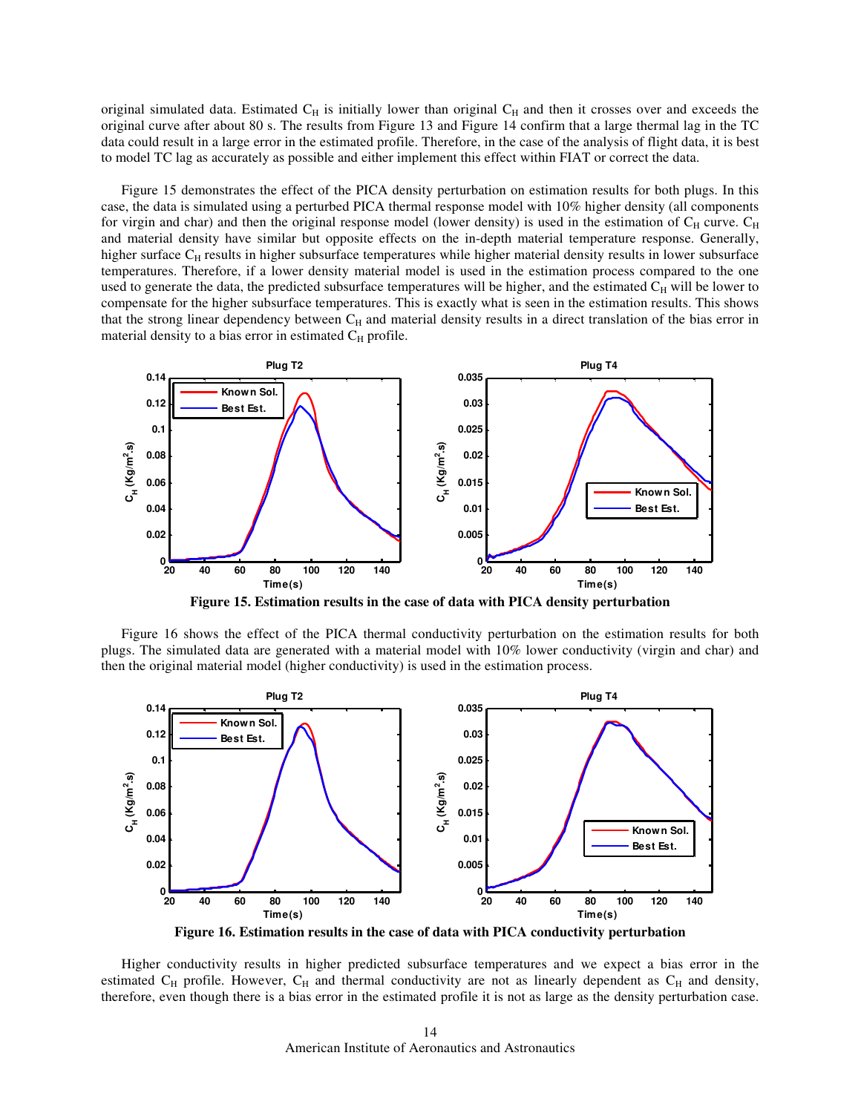original simulated data. Estimated  $C_H$  is initially lower than original  $C_H$  and then it crosses over and exceeds the original curve after about 80 s. The results from Figure 13 and Figure 14 confirm that a large thermal lag in the TC data could result in a large error in the estimated profile. Therefore, in the case of the analysis of flight data, it is best to model TC lag as accurately as possible and either implement this effect within FIAT or correct the data.

Figure 15 demonstrates the effect of the PICA density perturbation on estimation results for both plugs. In this case, the data is simulated using a perturbed PICA thermal response model with 10% higher density (all components for virgin and char) and then the original response model (lower density) is used in the estimation of  $C_H$  curve.  $C_H$ and material density have similar but opposite effects on the in-depth material temperature response. Generally, higher surface  $C_H$  results in higher subsurface temperatures while higher material density results in lower subsurface temperatures. Therefore, if a lower density material model is used in the estimation process compared to the one used to generate the data, the predicted subsurface temperatures will be higher, and the estimated  $C_H$  will be lower to compensate for the higher subsurface temperatures. This is exactly what is seen in the estimation results. This shows that the strong linear dependency between  $C_H$  and material density results in a direct translation of the bias error in material density to a bias error in estimated  $C_H$  profile.



**Figure 15. Estimation results in the case of data with PICA density perturbation** 

Figure 16 shows the effect of the PICA thermal conductivity perturbation on the estimation results for both plugs. The simulated data are generated with a material model with 10% lower conductivity (virgin and char) and then the original material model (higher conductivity) is used in the estimation process.



**Figure 16. Estimation results in the case of data with PICA conductivity perturbation** 

Higher conductivity results in higher predicted subsurface temperatures and we expect a bias error in the estimated  $C_H$  profile. However,  $C_H$  and thermal conductivity are not as linearly dependent as  $C_H$  and density, therefore, even though there is a bias error in the estimated profile it is not as large as the density perturbation case.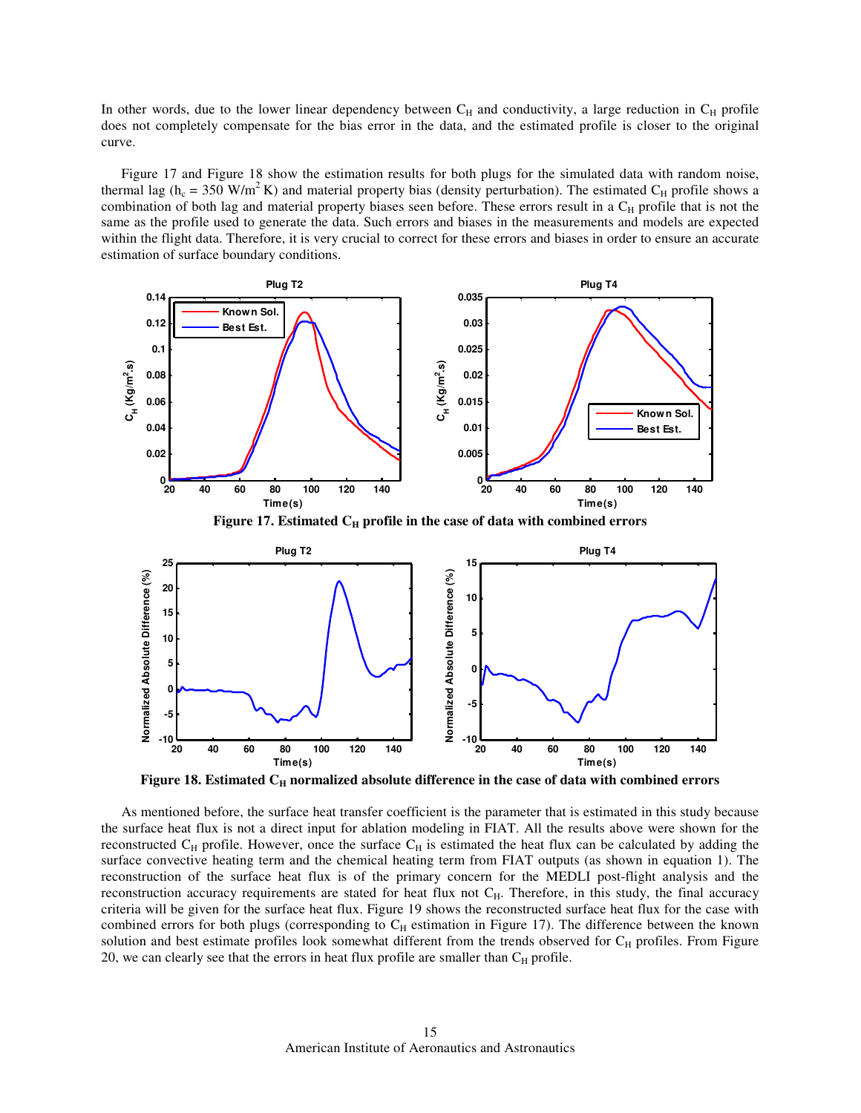In other words, due to the lower linear dependency between  $C_H$  and conductivity, a large reduction in  $C_H$  profile does not completely compensate for the bias error in the data, and the estimated profile is closer to the original curve.

Figure 17 and Figure 18 show the estimation results for both plugs for the simulated data with random noise, thermal lag ( $h_c = 350$  W/m<sup>2</sup>K) and material property bias (density perturbation). The estimated C<sub>H</sub> profile shows a combination of both lag and material property biases seen before. These errors result in a  $C<sub>H</sub>$  profile that is not the same as the profile used to generate the data. Such errors and biases in the measurements and models are expected within the flight data. Therefore, it is very crucial to correct for these errors and biases in order to ensure an accurate estimation of surface boundary conditions.



**Figure 17. Estimated CH profile in the case of data with combined errors** 



**Figure 18. Estimated CH normalized absolute difference in the case of data with combined errors** 

 As mentioned before, the surface heat transfer coefficient is the parameter that is estimated in this study because the surface heat flux is not a direct input for ablation modeling in FIAT. All the results above were shown for the reconstructed  $C_H$  profile. However, once the surface  $C_H$  is estimated the heat flux can be calculated by adding the surface convective heating term and the chemical heating term from FIAT outputs (as shown in equation 1). The reconstruction of the surface heat flux is of the primary concern for the MEDLI post-flight analysis and the reconstruction accuracy requirements are stated for heat flux not  $C_H$ . Therefore, in this study, the final accuracy criteria will be given for the surface heat flux. Figure 19 shows the reconstructed surface heat flux for the case with combined errors for both plugs (corresponding to  $C_H$  estimation in Figure 17). The difference between the known solution and best estimate profiles look somewhat different from the trends observed for  $C_H$  profiles. From Figure 20, we can clearly see that the errors in heat flux profile are smaller than  $C_H$  profile.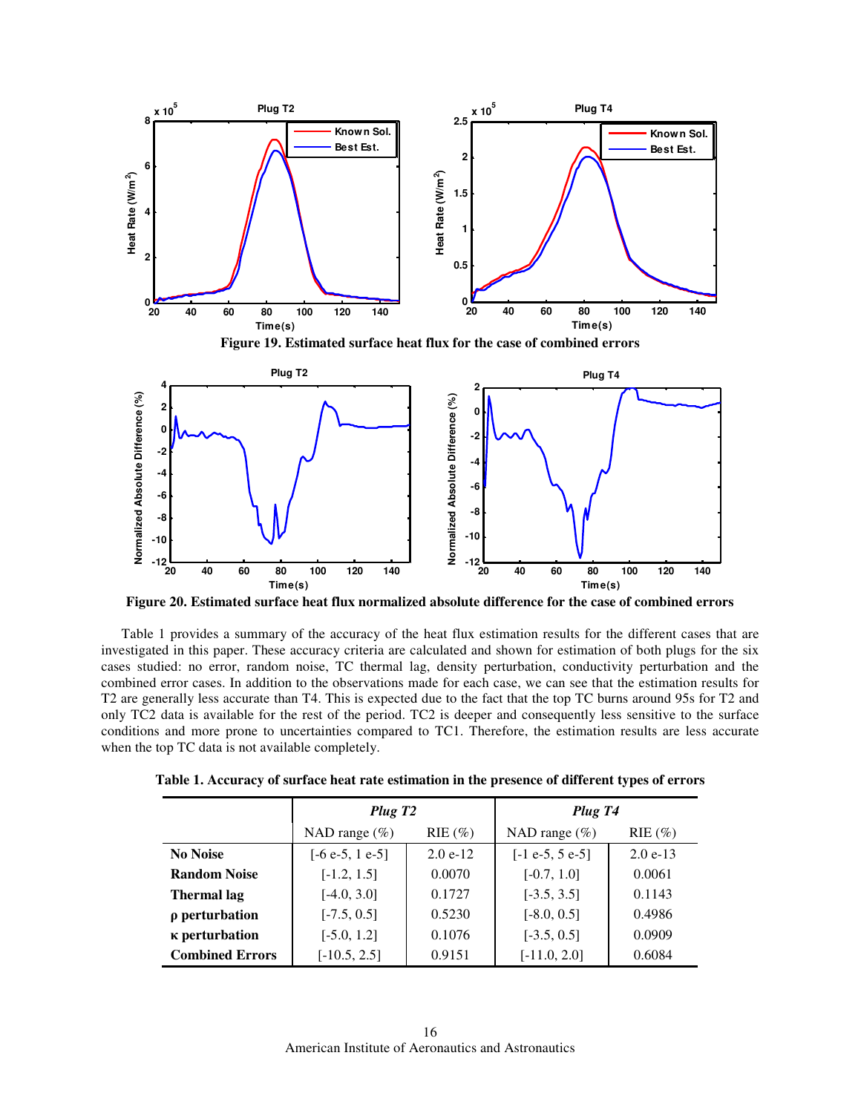

**Figure 20. Estimated surface heat flux normalized absolute difference for the case of combined errors** 

 Table 1 provides a summary of the accuracy of the heat flux estimation results for the different cases that are investigated in this paper. These accuracy criteria are calculated and shown for estimation of both plugs for the six cases studied: no error, random noise, TC thermal lag, density perturbation, conductivity perturbation and the combined error cases. In addition to the observations made for each case, we can see that the estimation results for T2 are generally less accurate than T4. This is expected due to the fact that the top TC burns around 95s for T2 and only TC2 data is available for the rest of the period. TC2 is deeper and consequently less sensitive to the surface conditions and more prone to uncertainties compared to TC1. Therefore, the estimation results are less accurate when the top TC data is not available completely.

|                        | Plug T <sub>2</sub> |           | Plug T <sub>4</sub> |           |  |
|------------------------|---------------------|-----------|---------------------|-----------|--|
|                        | NAD range $(\% )$   | $RIE(\%)$ | NAD range $(\% )$   | $RIE(\%)$ |  |
| <b>No Noise</b>        | $[-6e-5, 1e-5]$     | $2.0e-12$ | $[-1e-5, 5e-5]$     | $2.0e-13$ |  |
| <b>Random Noise</b>    | $[-1.2, 1.5]$       | 0.0070    | $[-0.7, 1.0]$       | 0.0061    |  |
| <b>Thermal</b> lag     | $[-4.0, 3.0]$       | 0.1727    | $[-3.5, 3.5]$       | 0.1143    |  |
| $\rho$ perturbation    | $[-7.5, 0.5]$       | 0.5230    | $[-8.0, 0.5]$       | 0.4986    |  |
| <b>K</b> perturbation  | $[-5.0, 1.2]$       | 0.1076    | $[-3.5, 0.5]$       | 0.0909    |  |
| <b>Combined Errors</b> | $[-10.5, 2.5]$      | 0.9151    | $[-11.0, 2.0]$      | 0.6084    |  |

**Table 1. Accuracy of surface heat rate estimation in the presence of different types of errors**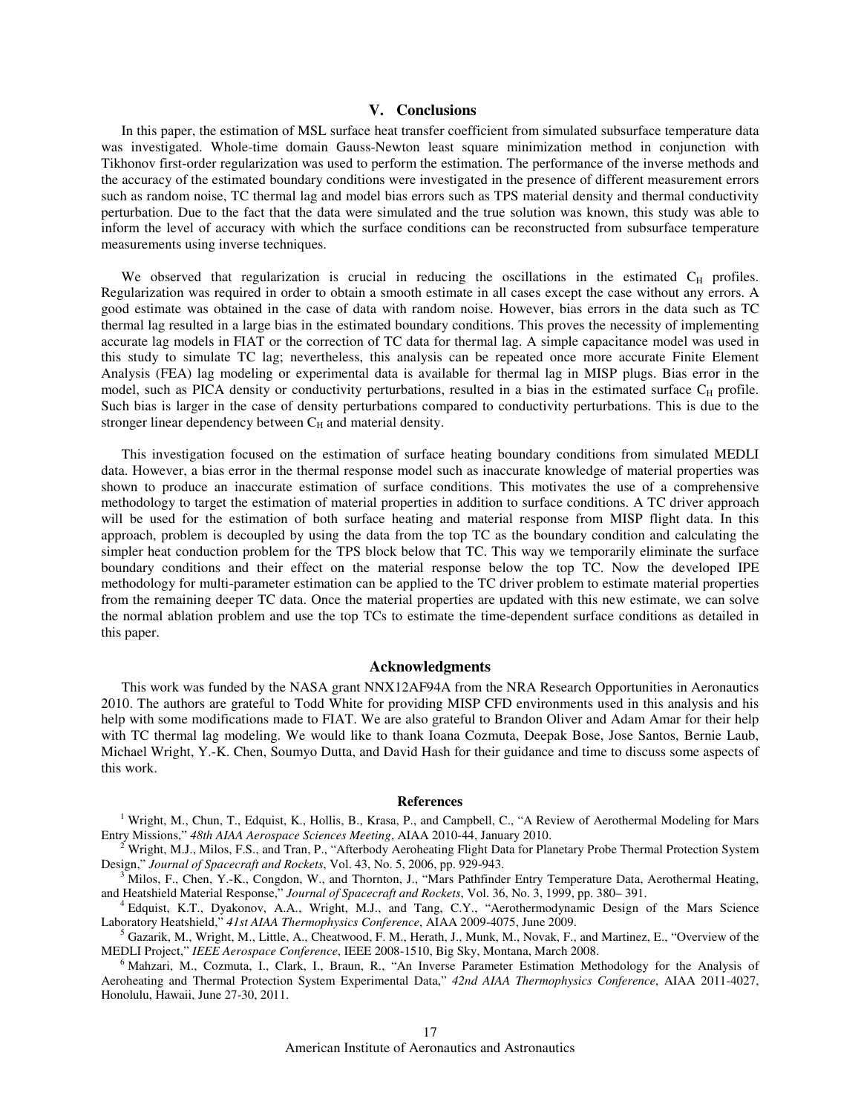# **V. Conclusions**

In this paper, the estimation of MSL surface heat transfer coefficient from simulated subsurface temperature data was investigated. Whole-time domain Gauss-Newton least square minimization method in conjunction with Tikhonov first-order regularization was used to perform the estimation. The performance of the inverse methods and the accuracy of the estimated boundary conditions were investigated in the presence of different measurement errors such as random noise, TC thermal lag and model bias errors such as TPS material density and thermal conductivity perturbation. Due to the fact that the data were simulated and the true solution was known, this study was able to inform the level of accuracy with which the surface conditions can be reconstructed from subsurface temperature measurements using inverse techniques.

We observed that regularization is crucial in reducing the oscillations in the estimated CH profiles. Regularization was required in order to obtain a smooth estimate in all cases except the case without any errors. A good estimate was obtained in the case of data with random noise. However, bias errors in the data such as TC thermal lag resulted in a large bias in the estimated boundary conditions. This proves the necessity of implementing accurate lag models in FIAT or the correction of TC data for thermal lag. A simple capacitance model was used in this study to simulate TC lag; nevertheless, this analysis can be repeated once more accurate Finite Element Analysis (FEA) lag modeling or experimental data is available for thermal lag in MISP plugs. Bias error in the model, such as PICA density or conductivity perturbations, resulted in a bias in the estimated surface  $C_H$  profile. Such bias is larger in the case of density perturbations compared to conductivity perturbations. This is due to the stronger linear dependency between  $C_H$  and material density.

This investigation focused on the estimation of surface heating boundary conditions from simulated MEDLI data. However, a bias error in the thermal response model such as inaccurate knowledge of material properties was shown to produce an inaccurate estimation of surface conditions. This motivates the use of a comprehensive methodology to target the estimation of material properties in addition to surface conditions. A TC driver approach will be used for the estimation of both surface heating and material response from MISP flight data. In this approach, problem is decoupled by using the data from the top TC as the boundary condition and calculating the simpler heat conduction problem for the TPS block below that TC. This way we temporarily eliminate the surface boundary conditions and their effect on the material response below the top TC. Now the developed IPE methodology for multi-parameter estimation can be applied to the TC driver problem to estimate material properties from the remaining deeper TC data. Once the material properties are updated with this new estimate, we can solve the normal ablation problem and use the top TCs to estimate the time-dependent surface conditions as detailed in this paper.

#### **Acknowledgments**

This work was funded by the NASA grant NNX12AF94A from the NRA Research Opportunities in Aeronautics 2010. The authors are grateful to Todd White for providing MISP CFD environments used in this analysis and his help with some modifications made to FIAT. We are also grateful to Brandon Oliver and Adam Amar for their help with TC thermal lag modeling. We would like to thank Ioana Cozmuta, Deepak Bose, Jose Santos, Bernie Laub, Michael Wright, Y.-K. Chen, Soumyo Dutta, and David Hash for their guidance and time to discuss some aspects of this work.

### **References**

<sup>1</sup> Wright, M., Chun, T., Edquist, K., Hollis, B., Krasa, P., and Campbell, C., "A Review of Aerothermal Modeling for Mars Entry Missions," *48th AIAA Aerospace Sciences Meeting*, AIAA 2010-44, January 2010.

 $2$  Wright, M.J., Milos, F.S., and Tran, P., "Afterbody Aeroheating Flight Data for Planetary Probe Thermal Protection System Design," *Journal of Spacecraft and Rockets*, Vol. 43, No. 5, 2006, pp. 929-943.

<sup>3</sup> Milos, F., Chen, Y.-K., Congdon, W., and Thornton, J., "Mars Pathfinder Entry Temperature Data, Aerothermal Heating, and Heatshield Material Response," *Journal of Spacecraft and Rockets*, Vol. 36, No. 3, 1999, pp. 380– 391.

<sup>4</sup> Edquist, K.T., Dyakonov, A.A., Wright, M.J., and Tang, C.Y., "Aerothermodynamic Design of the Mars Science Laboratory Heatshield," *41st AIAA Thermophysics Conference*, AIAA 2009-4075, June 2009.

 $^5$  Gazarik, M., Wright, M., Little, A., Cheatwood, F. M., Herath, J., Munk, M., Novak, F., and Martinez, E., "Overview of the MEDLI Project," *IEEE Aerospace Conference*, IEEE 2008-1510, Big Sky, Montana, March 2008.

<sup>6</sup> Mahzari, M., Cozmuta, I., Clark, I., Braun, R., "An Inverse Parameter Estimation Methodology for the Analysis of Aeroheating and Thermal Protection System Experimental Data," *42nd AIAA Thermophysics Conference*, AIAA 2011-4027, Honolulu, Hawaii, June 27-30, 2011.